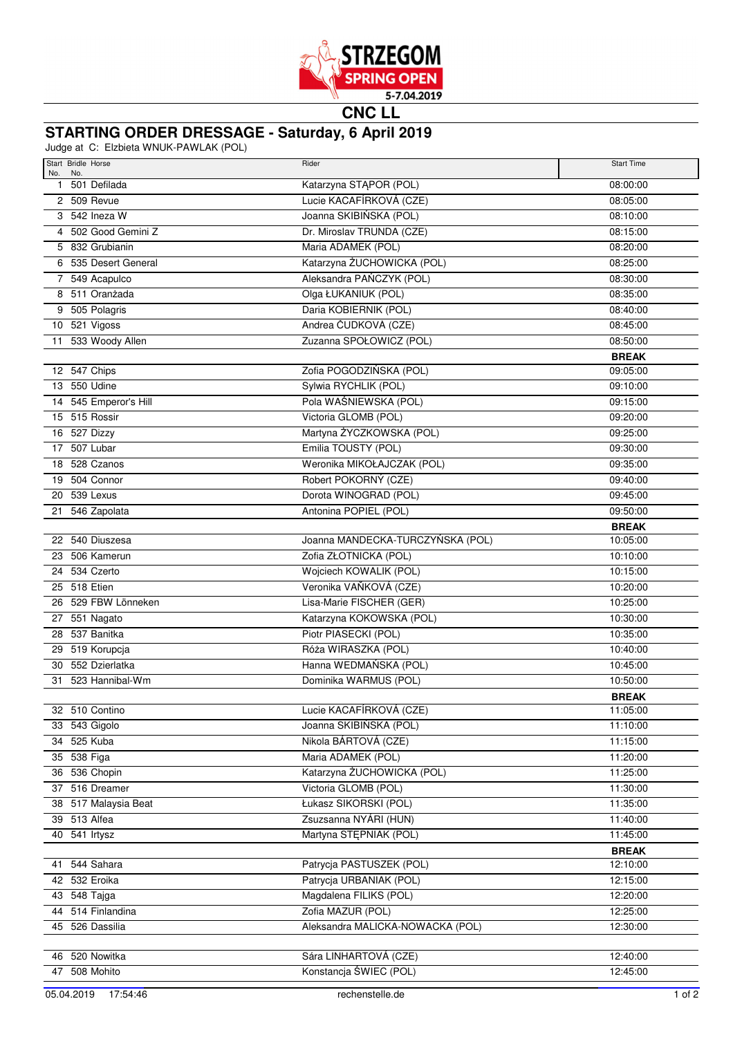

**CNC LL**

## **STARTING ORDER DRESSAGE - Saturday, 6 April 2019**

Judge at C: Elzbieta WNUK-PAWLAK (POL)

| Start Bridle Horse                | Rider                                             | <b>Start Time</b> |
|-----------------------------------|---------------------------------------------------|-------------------|
| No.<br>No.<br>501 Defilada<br>1   | Katarzyna STĄPOR (POL)                            | 08:00:00          |
| 2 509 Revue                       | Lucie KACAFÍRKOVÁ (CZE)                           | 08:05:00          |
| 3 542 Ineza W                     | Joanna SKIBIŃSKA (POL)                            | 08:10:00          |
| 4 502 Good Gemini Z               | Dr. Miroslav TRUNDA (CZE)                         | 08:15:00          |
| 5 832 Grubianin                   | Maria ADAMEK (POL)                                | 08:20:00          |
| 6 535 Desert General              | Katarzyna ŻUCHOWICKA (POL)                        | 08:25:00          |
| 7 549 Acapulco                    | Aleksandra PAŃCZYK (POL)                          | 08:30:00          |
| 8 511 Oranżada                    | Olga ŁUKANIUK (POL)                               | 08:35:00          |
| 9 505 Polagris                    | Daria KOBIERNIK (POL)                             | 08:40:00          |
| 10 521 Vigoss                     | Andrea ČUDKOVÁ (CZE)                              | 08:45:00          |
| 11 533 Woody Allen                | Zuzanna SPOŁOWICZ (POL)                           | 08:50:00          |
|                                   |                                                   | <b>BREAK</b>      |
| 12 547 Chips                      | Zofia POGODZIŃSKA (POL)                           | 09:05:00          |
| 13 550 Udine                      | Sylwia RYCHLIK (POL)                              | 09:10:00          |
| 14 545 Emperor's Hill             | Pola WAŚNIEWSKA (POL)                             | 09:15:00          |
| 15 515 Rossir                     | Victoria GLOMB (POL)                              | 09:20:00          |
| 16 527 Dizzy                      | Martyna ŻYCZKOWSKA (POL)                          | 09:25:00          |
| 17 507 Lubar                      | Emilia TOUSTY (POL)                               | 09:30:00          |
| 18 528 Czanos                     | Weronika MIKOŁAJCZAK (POL)                        | 09:35:00          |
| 19 504 Connor                     | Robert POKORNÝ (CZE)                              | 09:40:00          |
| 20 539 Lexus                      | Dorota WINOGRAD (POL)                             | 09:45:00          |
| 21 546 Zapolata                   | Antonina POPIEL (POL)                             | 09:50:00          |
|                                   |                                                   | <b>BREAK</b>      |
| 22 540 Diuszesa                   | Joanna MANDECKA-TURCZYŃSKA (POL)                  | 10:05:00          |
| 23 506 Kamerun                    | Zofia ZŁOTNICKA (POL)                             | 10:10:00          |
| 24 534 Czerto                     | Wojciech KOWALIK (POL)                            | 10:15:00          |
| 25 518 Etien                      | Veronika VAŇKOVÁ (CZE)                            | 10:20:00          |
| 26 529 FBW Lönneken               | Lisa-Marie FISCHER (GER)                          | 10:25:00          |
| 27 551 Nagato                     | Katarzyna KOKOWSKA (POL)                          | 10:30:00          |
| 28 537 Banitka                    | Piotr PIASECKI (POL)                              | 10:35:00          |
| 29 519 Korupcja                   | Róża WIRASZKA (POL)                               | 10:40:00          |
| 30 552 Dzierlatka                 | Hanna WEDMAŃSKA (POL)                             | 10:45:00          |
| 31 523 Hannibal-Wm                | Dominika WARMUS (POL)                             | 10:50:00          |
|                                   |                                                   | <b>BREAK</b>      |
| 32 510 Contino                    | Lucie KACAFÍRKOVÁ (CZE)                           | 11:05:00          |
| 33 543 Gigolo                     | Joanna SKIBIŃSKA (POL)                            | 11:10:00          |
| 34 525 Kuba                       | Nikola BÁRTOVÁ (CZE)                              | 11:15:00          |
| 35 538 Figa                       | Maria ADAMEK (POL)                                | 11:20:00          |
| 36 536 Chopin                     | Katarzyna ŻUCHOWICKA (POL)                        | 11:25:00          |
| 37 516 Dreamer                    | Victoria GLOMB (POL)                              | 11:30:00          |
| 38 517 Malaysia Beat              | Łukasz SIKORSKI (POL)                             | 11:35:00          |
| 39 513 Alfea                      | Zsuzsanna NYÁRI (HUN)                             | 11:40:00          |
| 40 541 Irtysz                     | Martyna STEPNIAK (POL)                            | 11:45:00          |
|                                   |                                                   | <b>BREAK</b>      |
| 41 544 Sahara                     | Patrycja PASTUSZEK (POL)                          | 12:10:00          |
| 42 532 Eroika                     | Patrycja URBANIAK (POL)<br>Magdalena FILIKS (POL) | 12:15:00          |
| 43 548 Tajga<br>44 514 Finlandina | Zofia MAZUR (POL)                                 | 12:20:00          |
|                                   |                                                   | 12:25:00          |
| 45 526 Dassilia                   | Aleksandra MALICKA-NOWACKA (POL)                  | 12:30:00          |
| 46 520 Nowitka                    | Sára LINHARTOVÁ (CZE)                             | 12:40:00          |
| 47 508 Mohito                     | Konstancja ŚWIEC (POL)                            | 12:45:00          |
|                                   |                                                   |                   |
| 05.04.2019<br>17:54:46            | rechenstelle.de                                   | $1$ of $2$        |